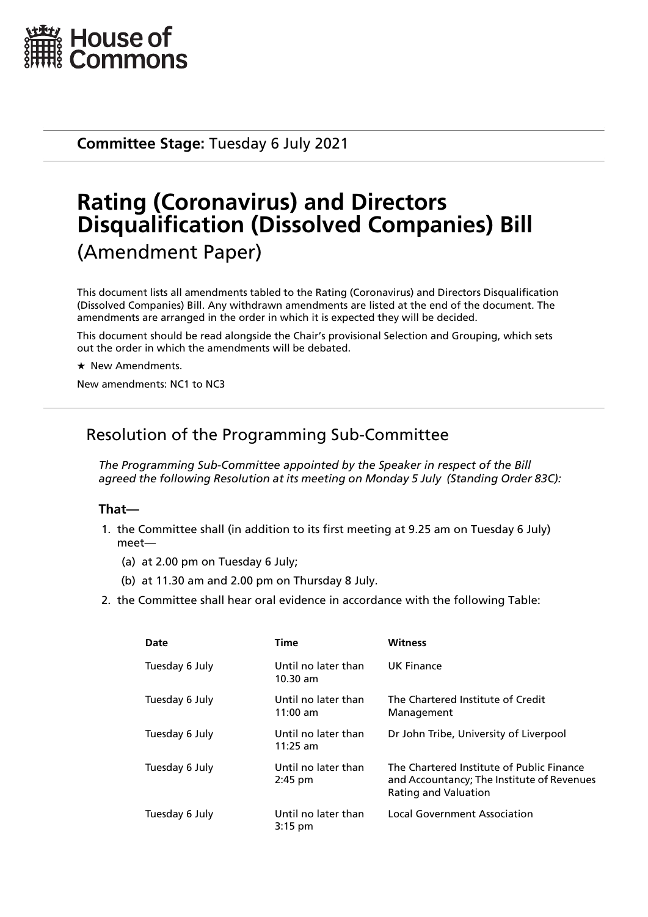

**Committee Stage:** Tuesday 6 July 2021

# **Rating (Coronavirus) and Directors Disqualification (Dissolved Companies) Bill** (Amendment Paper)

This document lists all amendments tabled to the Rating (Coronavirus) and Directors Disqualification (Dissolved Companies) Bill. Any withdrawn amendments are listed at the end of the document. The amendments are arranged in the order in which it is expected they will be decided.

This document should be read alongside the Chair's provisional Selection and Grouping, which sets out the order in which the amendments will be debated.

 $\star$  New Amendments.

New amendments: NC1 to NC3

# Resolution of the Programming Sub-Committee

*The Programming Sub-Committee appointed by the Speaker in respect of the Bill agreed the following Resolution at its meeting on Monday 5 July (Standing Order 83C):*

### **That—**

- 1. the Committee shall (in addition to its first meeting at 9.25 am on Tuesday 6 July) meet—
	- (a) at 2.00 pm on Tuesday 6 July;
	- (b) at 11.30 am and 2.00 pm on Thursday 8 July.
- 2. the Committee shall hear oral evidence in accordance with the following Table:

| Date           | <b>Time</b>                       | <b>Witness</b>                                                                                                         |
|----------------|-----------------------------------|------------------------------------------------------------------------------------------------------------------------|
| Tuesday 6 July | Until no later than<br>$10.30$ am | UK Finance                                                                                                             |
| Tuesday 6 July | Until no later than<br>$11:00$ am | The Chartered Institute of Credit<br>Management                                                                        |
| Tuesday 6 July | Until no later than<br>$11:25$ am | Dr John Tribe, University of Liverpool                                                                                 |
| Tuesday 6 July | Until no later than<br>$2:45$ pm  | The Chartered Institute of Public Finance<br>and Accountancy; The Institute of Revenues<br><b>Rating and Valuation</b> |
| Tuesday 6 July | Until no later than<br>$3:15$ pm  | Local Government Association                                                                                           |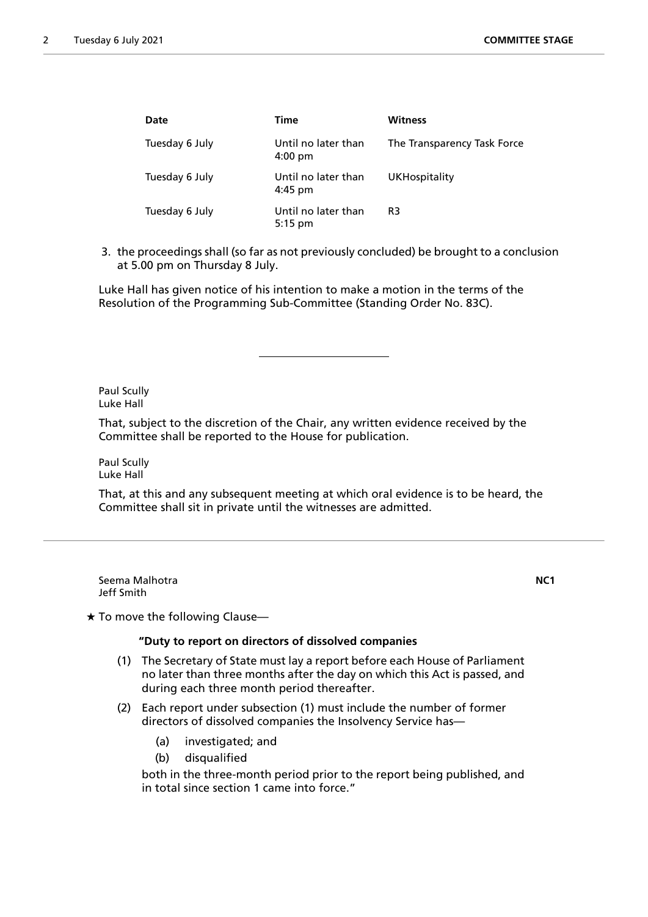| Date           | <b>Time</b>                              | <b>Witness</b>              |
|----------------|------------------------------------------|-----------------------------|
| Tuesday 6 July | Until no later than<br>$4:00 \text{ pm}$ | The Transparency Task Force |
| Tuesday 6 July | Until no later than<br>$4:45$ pm         | <b>UKHospitality</b>        |
| Tuesday 6 July | Until no later than<br>$5:15$ pm         | R3                          |

3. the proceedings shall (so far as not previously concluded) be brought to a conclusion at 5.00 pm on Thursday 8 July.

Luke Hall has given notice of his intention to make a motion in the terms of the Resolution of the Programming Sub-Committee (Standing Order No. 83C).

Paul Scully Luke Hall

That, subject to the discretion of the Chair, any written evidence received by the Committee shall be reported to the House for publication.

Paul Scully Luke Hall

That, at this and any subsequent meeting at which oral evidence is to be heard, the Committee shall sit in private until the witnesses are admitted.

Seema Malhotra **NC1** Jeff Smith

 $\star$  To move the following Clause-

#### **"Duty to report on directors of dissolved companies**

- (1) The Secretary of State must lay a report before each House of Parliament no later than three months after the day on which this Act is passed, and during each three month period thereafter.
- (2) Each report under subsection (1) must include the number of former directors of dissolved companies the Insolvency Service has—
	- (a) investigated; and
	- (b) disqualified

both in the three-month period prior to the report being published, and in total since section 1 came into force."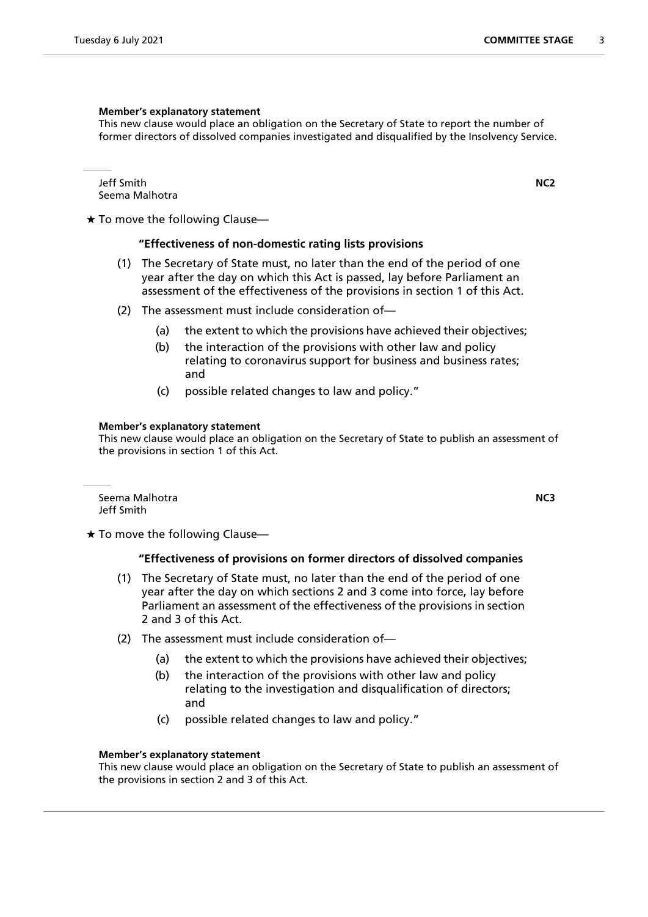#### **Member's explanatory statement**

This new clause would place an obligation on the Secretary of State to report the number of former directors of dissolved companies investigated and disqualified by the Insolvency Service.

Jeff Smith **NC2** Seema Malhotra

 $\star$  To move the following Clause—

#### **"Effectiveness of non-domestic rating lists provisions**

- (1) The Secretary of State must, no later than the end of the period of one year after the day on which this Act is passed, lay before Parliament an assessment of the effectiveness of the provisions in section 1 of this Act.
- (2) The assessment must include consideration of—
	- (a) the extent to which the provisions have achieved their objectives;
	- (b) the interaction of the provisions with other law and policy relating to coronavirus support for business and business rates; and
	- (c) possible related changes to law and policy."

#### **Member's explanatory statement**

This new clause would place an obligation on the Secretary of State to publish an assessment of the provisions in section 1 of this Act.

Seema Malhotra **NC3** Jeff Smith

 $\star$  To move the following Clause—

#### **"Effectiveness of provisions on former directors of dissolved companies**

- (1) The Secretary of State must, no later than the end of the period of one year after the day on which sections 2 and 3 come into force, lay before Parliament an assessment of the effectiveness of the provisions in section 2 and 3 of this Act.
- (2) The assessment must include consideration of—
	- (a) the extent to which the provisions have achieved their objectives;
	- (b) the interaction of the provisions with other law and policy relating to the investigation and disqualification of directors; and
	- (c) possible related changes to law and policy."

#### **Member's explanatory statement**

This new clause would place an obligation on the Secretary of State to publish an assessment of the provisions in section 2 and 3 of this Act.